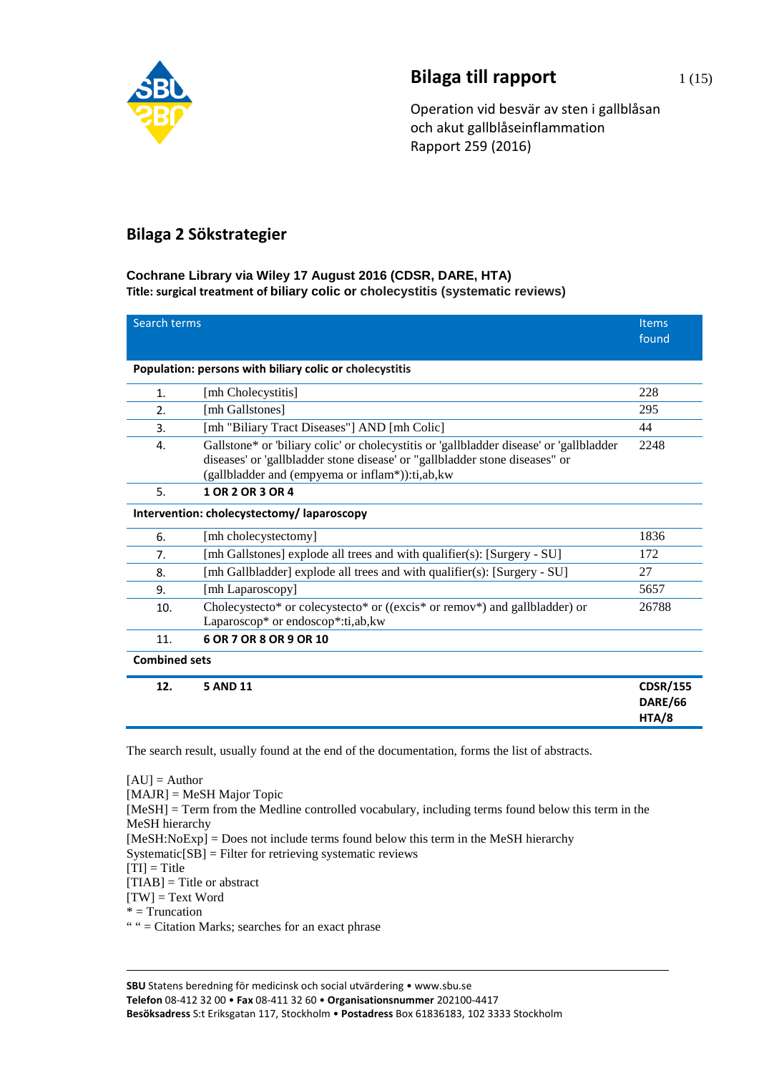

# **Bilaga till rapport** 1(15)

Operation vid besvär av sten i gallblåsan och akut gallblåseinflammation Rapport 259 (2016)

## **Bilaga 2 Sökstrategier**

### **Cochrane Library via Wiley 17 August 2016 (CDSR, DARE, HTA) Title: surgical treatment of biliary colic or cholecystitis (systematic reviews)**

| Search terms         |                                                                                                                                                                                                                           | <b>Items</b><br>found               |
|----------------------|---------------------------------------------------------------------------------------------------------------------------------------------------------------------------------------------------------------------------|-------------------------------------|
|                      | Population: persons with biliary colic or cholecystitis                                                                                                                                                                   |                                     |
| 1.                   | [mh Cholecystitis]                                                                                                                                                                                                        | 228                                 |
| 2.                   | [mh Gallstones]                                                                                                                                                                                                           | 295                                 |
| 3.                   | [mh "Biliary Tract Diseases"] AND [mh Colic]                                                                                                                                                                              | 44                                  |
| 4.                   | Gallstone* or 'biliary colic' or cholecystitis or 'gallbladder disease' or 'gallbladder<br>diseases' or 'gallbladder stone disease' or "gallbladder stone diseases" or<br>(gallbladder and (empyema or inflam*)):ti,ab,kw | 2248                                |
| 5.                   | 1 OR 2 OR 3 OR 4                                                                                                                                                                                                          |                                     |
|                      | Intervention: cholecystectomy/ laparoscopy                                                                                                                                                                                |                                     |
| 6.                   | [mh cholecystectomy]                                                                                                                                                                                                      | 1836                                |
| 7.                   | [mh Gallstones] explode all trees and with qualifier(s): [Surgery - SU]                                                                                                                                                   | 172                                 |
| 8.                   | [mh Gallbladder] explode all trees and with qualifier(s): [Surgery - SU]                                                                                                                                                  | 27                                  |
| 9.                   | [mh Laparoscopy]                                                                                                                                                                                                          | 5657                                |
| 10.                  | Cholecystecto* or colecystecto* or ((excis* or remov*) and gallbladder) or<br>Laparoscop* or endoscop*:ti,ab,kw                                                                                                           | 26788                               |
| 11.                  | 6 OR 7 OR 8 OR 9 OR 10                                                                                                                                                                                                    |                                     |
| <b>Combined sets</b> |                                                                                                                                                                                                                           |                                     |
| 12.                  | <b>5 AND 11</b>                                                                                                                                                                                                           | <b>CDSR/155</b><br>DARE/66<br>HTA/8 |

The search result, usually found at the end of the documentation, forms the list of abstracts.

 $[AU] =$  Author [MAJR] = MeSH Major Topic [MeSH] = Term from the Medline controlled vocabulary, including terms found below this term in the MeSH hierarchy [MeSH:NoExp] = Does not include terms found below this term in the MeSH hierarchy Systematic[SB] = Filter for retrieving systematic reviews  $[TI] = Title$  $[TIAB] = Title$  or abstract  $[TW] = Text Word$  $*$  = Truncation " " = Citation Marks; searches for an exact phrase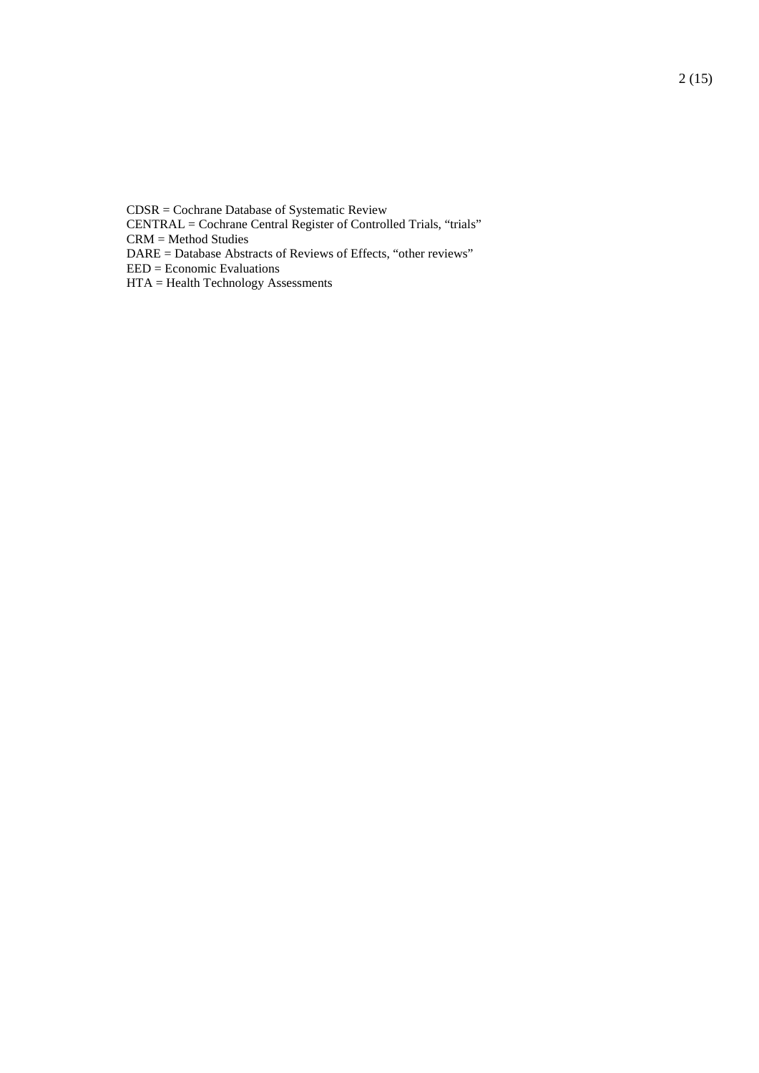CDSR = Cochrane Database of Systematic Review

CENTRAL = Cochrane Central Register of Controlled Trials, "trials"

CRM = Method Studies

DARE = Database Abstracts of Reviews of Effects, "other reviews"

EED = Economic Evaluations

HTA = Health Technology Assessments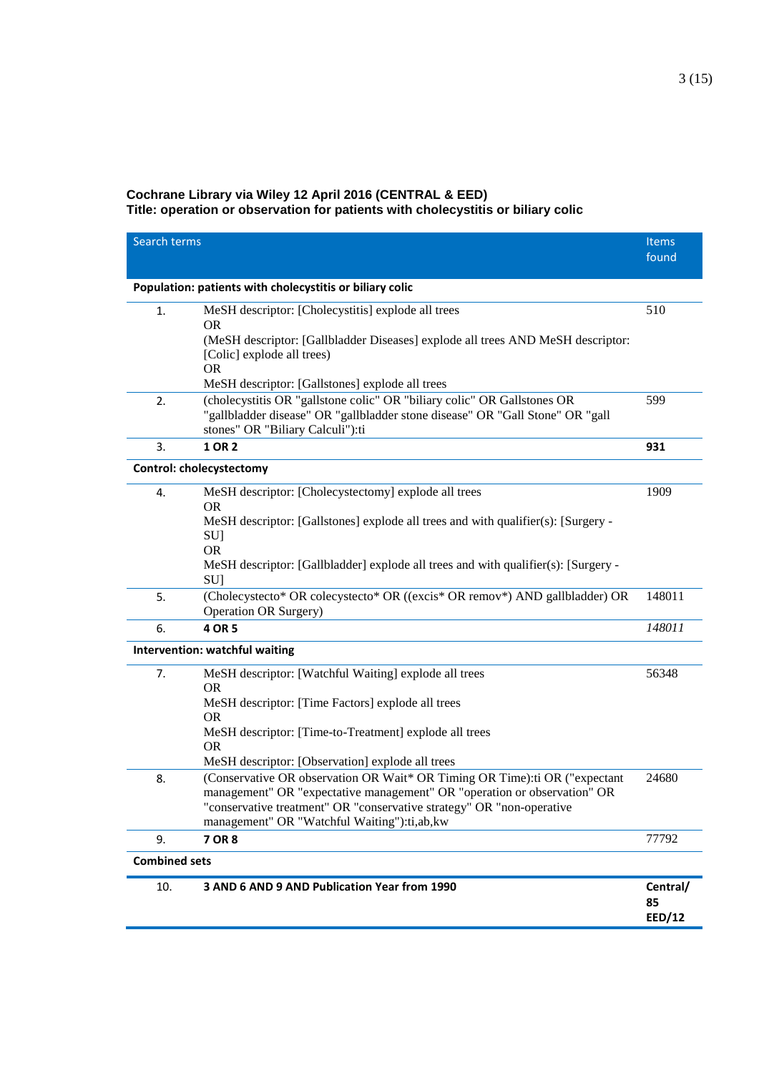## **Cochrane Library via Wiley 12 April 2016 (CENTRAL & EED)**

**Title: operation or observation for patients with cholecystitis or biliary colic**

| Search terms         |                                                                                                                                | <b>Items</b><br>found |
|----------------------|--------------------------------------------------------------------------------------------------------------------------------|-----------------------|
|                      | Population: patients with cholecystitis or biliary colic                                                                       |                       |
| 1.                   | MeSH descriptor: [Cholecystitis] explode all trees                                                                             | 510                   |
|                      | <b>OR</b>                                                                                                                      |                       |
|                      | (MeSH descriptor: [Gallbladder Diseases] explode all trees AND MeSH descriptor:<br>[Colic] explode all trees)                  |                       |
|                      | <b>OR</b>                                                                                                                      |                       |
|                      | MeSH descriptor: [Gallstones] explode all trees                                                                                |                       |
| 2.                   | (cholecystitis OR "gallstone colic" OR "biliary colic" OR Gallstones OR                                                        | 599                   |
|                      | "gallbladder disease" OR "gallbladder stone disease" OR "Gall Stone" OR "gall<br>stones" OR "Biliary Calculi"):ti              |                       |
| 3.                   | 1 OR 2                                                                                                                         | 931                   |
|                      | <b>Control: cholecystectomy</b>                                                                                                |                       |
| 4.                   | MeSH descriptor: [Cholecystectomy] explode all trees                                                                           | 1909                  |
|                      | <b>OR</b>                                                                                                                      |                       |
|                      | MeSH descriptor: [Gallstones] explode all trees and with qualifier(s): [Surgery -                                              |                       |
|                      | SU]                                                                                                                            |                       |
|                      | <b>OR</b><br>MeSH descriptor: [Gallbladder] explode all trees and with qualifier(s): [Surgery -                                |                       |
|                      | <b>SU</b>                                                                                                                      |                       |
| 5.                   | (Cholecystecto* OR colecystecto* OR ((excis* OR remov*) AND gallbladder) OR                                                    | 148011                |
|                      | <b>Operation OR Surgery)</b>                                                                                                   |                       |
| 6.                   | 4 OR 5                                                                                                                         | 148011                |
|                      | Intervention: watchful waiting                                                                                                 |                       |
| 7.                   | MeSH descriptor: [Watchful Waiting] explode all trees                                                                          | 56348                 |
|                      | <b>OR</b><br>MeSH descriptor: [Time Factors] explode all trees                                                                 |                       |
|                      | <b>OR</b>                                                                                                                      |                       |
|                      | MeSH descriptor: [Time-to-Treatment] explode all trees                                                                         |                       |
|                      | <b>OR</b>                                                                                                                      |                       |
| 8.                   | MeSH descriptor: [Observation] explode all trees<br>(Conservative OR observation OR Wait* OR Timing OR Time):ti OR ("expectant | 24680                 |
|                      | management" OR "expectative management" OR "operation or observation" OR                                                       |                       |
|                      | "conservative treatment" OR "conservative strategy" OR "non-operative                                                          |                       |
|                      | management" OR "Watchful Waiting"):ti,ab,kw                                                                                    |                       |
| 9.                   | 7 OR 8                                                                                                                         | 77792                 |
| <b>Combined sets</b> |                                                                                                                                |                       |
| 10.                  | 3 AND 6 AND 9 AND Publication Year from 1990                                                                                   | Central/              |
|                      |                                                                                                                                | 85<br><b>EED/12</b>   |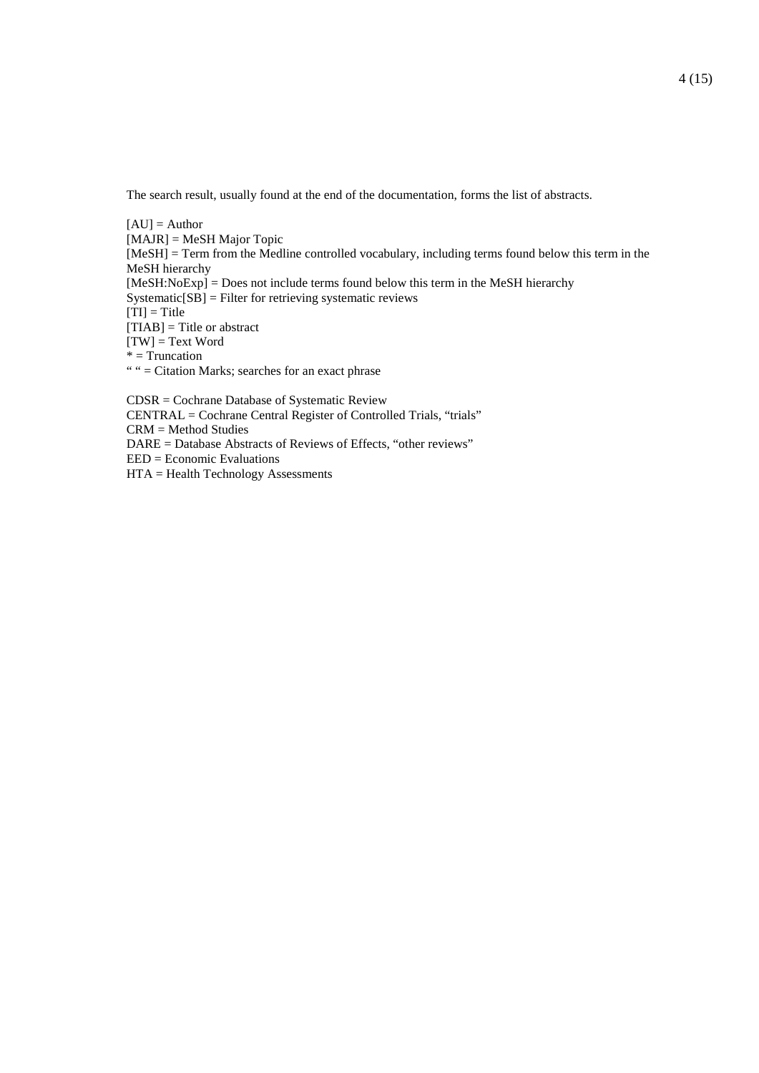The search result, usually found at the end of the documentation, forms the list of abstracts.

 $[AU] =$  Author [MAJR] = MeSH Major Topic [MeSH] = Term from the Medline controlled vocabulary, including terms found below this term in the MeSH hierarchy [MeSH:NoExp] = Does not include terms found below this term in the MeSH hierarchy Systematic[SB] = Filter for retrieving systematic reviews  $[TI] = Title$ [TIAB] = Title or abstract  $[TW] = Text Word$  $*$  = Truncation " " = Citation Marks; searches for an exact phrase

CDSR = Cochrane Database of Systematic Review CENTRAL = Cochrane Central Register of Controlled Trials, "trials" CRM = Method Studies DARE = Database Abstracts of Reviews of Effects, "other reviews" EED = Economic Evaluations HTA = Health Technology Assessments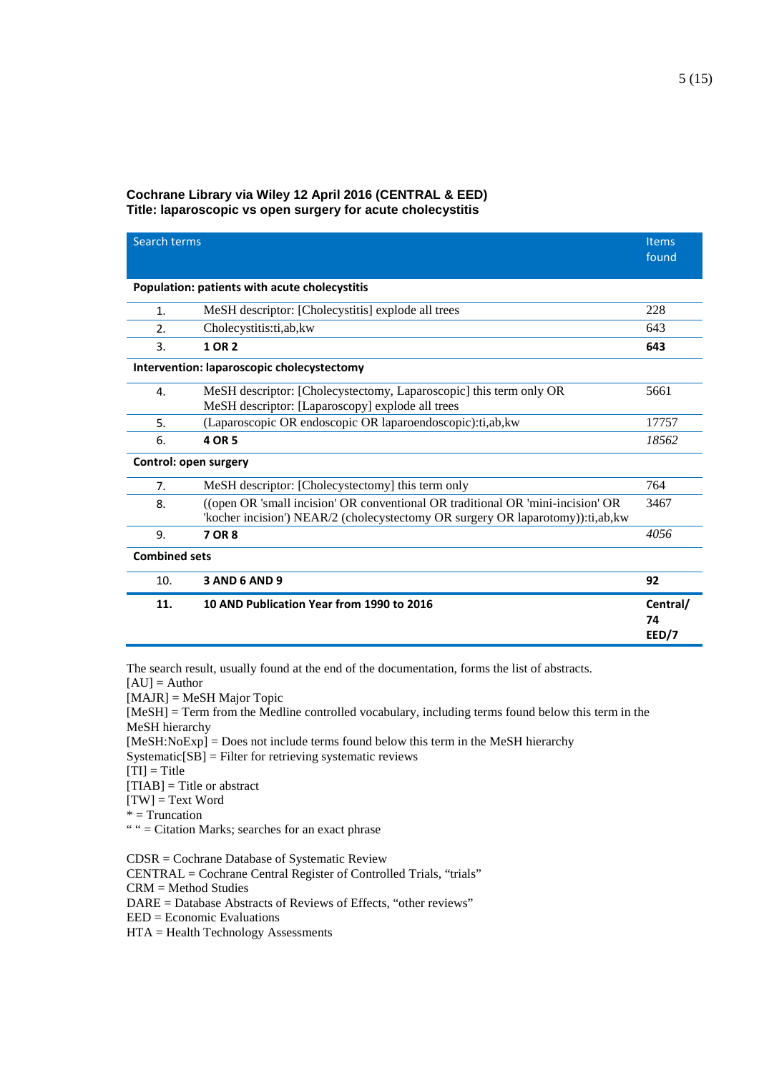#### **Cochrane Library via Wiley 12 April 2016 (CENTRAL & EED) Title: laparoscopic vs open surgery for acute cholecystitis**

| Search terms          |                                                                                                                                                                   | <b>Items</b><br>found   |  |
|-----------------------|-------------------------------------------------------------------------------------------------------------------------------------------------------------------|-------------------------|--|
|                       | Population: patients with acute cholecystitis                                                                                                                     |                         |  |
| 1.                    | MeSH descriptor: [Cholecystitis] explode all trees                                                                                                                | 228                     |  |
| 2.                    | Cholecystitis:ti,ab,kw                                                                                                                                            | 643                     |  |
| 3.                    | 1 OR 2                                                                                                                                                            | 643                     |  |
|                       | Intervention: laparoscopic cholecystectomy                                                                                                                        |                         |  |
| 4.                    | MeSH descriptor: [Cholecystectomy, Laparoscopic] this term only OR<br>MeSH descriptor: [Laparoscopy] explode all trees                                            | 5661                    |  |
| 5.                    | (Laparoscopic OR endoscopic OR laparoendoscopic):ti,ab,kw                                                                                                         | 17757                   |  |
| 6.                    | 4 OR 5                                                                                                                                                            | 18562                   |  |
| Control: open surgery |                                                                                                                                                                   |                         |  |
| 7.                    | MeSH descriptor: [Cholecystectomy] this term only                                                                                                                 | 764                     |  |
| 8.                    | ((open OR 'small incision' OR conventional OR traditional OR 'mini-incision' OR<br>'kocher incision') NEAR/2 (cholecystectomy OR surgery OR laparotomy)):ti,ab,kw | 3467                    |  |
| 9.                    | 7 OR 8                                                                                                                                                            | 4056                    |  |
|                       | <b>Combined sets</b>                                                                                                                                              |                         |  |
| 10.                   | <b>3 AND 6 AND 9</b>                                                                                                                                              | 92                      |  |
| 11.                   | 10 AND Publication Year from 1990 to 2016                                                                                                                         | Central/<br>74<br>EED/7 |  |

The search result, usually found at the end of the documentation, forms the list of abstracts.

- $[AU] =$  Author
- [MAJR] = MeSH Major Topic

[MeSH] = Term from the Medline controlled vocabulary, including terms found below this term in the MeSH hierarchy

[MeSH:NoExp] = Does not include terms found below this term in the MeSH hierarchy

Systematic[SB] = Filter for retrieving systematic reviews

 $[TI] = Title$ 

 $[TIAB] = Title$  or abstract

 $[TW] = Text Word$ 

\* = Truncation

" " = Citation Marks; searches for an exact phrase

CDSR = Cochrane Database of Systematic Review

CENTRAL = Cochrane Central Register of Controlled Trials, "trials"

CRM = Method Studies

DARE = Database Abstracts of Reviews of Effects, "other reviews"

EED = Economic Evaluations

HTA = Health Technology Assessments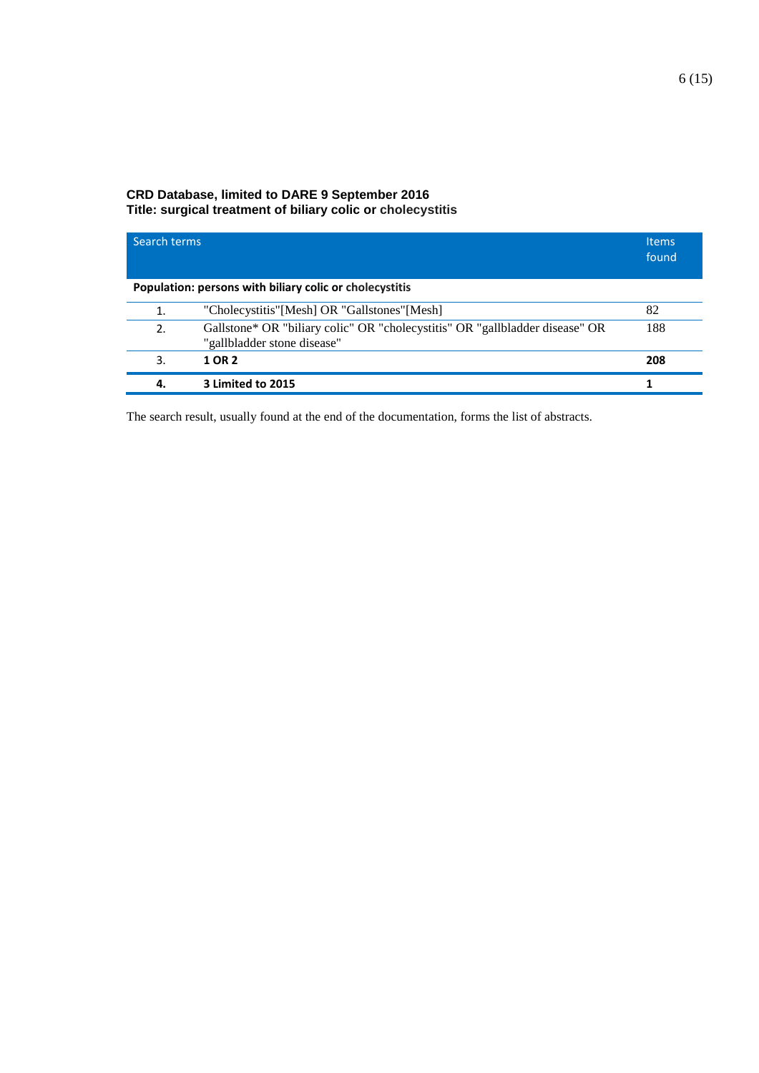### **CRD Database, limited to DARE 9 September 2016 Title: surgical treatment of biliary colic or cholecystitis**

| Search terms |                                                                                                             | <b>Items</b><br>found |
|--------------|-------------------------------------------------------------------------------------------------------------|-----------------------|
|              | Population: persons with biliary colic or cholecystitis                                                     |                       |
| 1.           | "Cholecystitis"[Mesh] OR "Gallstones"[Mesh]                                                                 | 82                    |
| 2.           | Gallstone* OR "biliary colic" OR "cholecystitis" OR "gallbladder disease" OR<br>"gallbladder stone disease" | 188                   |
| 3.           | 1 OR 2                                                                                                      | 208                   |
| 4.           | 3 Limited to 2015                                                                                           |                       |

The search result, usually found at the end of the documentation, forms the list of abstracts.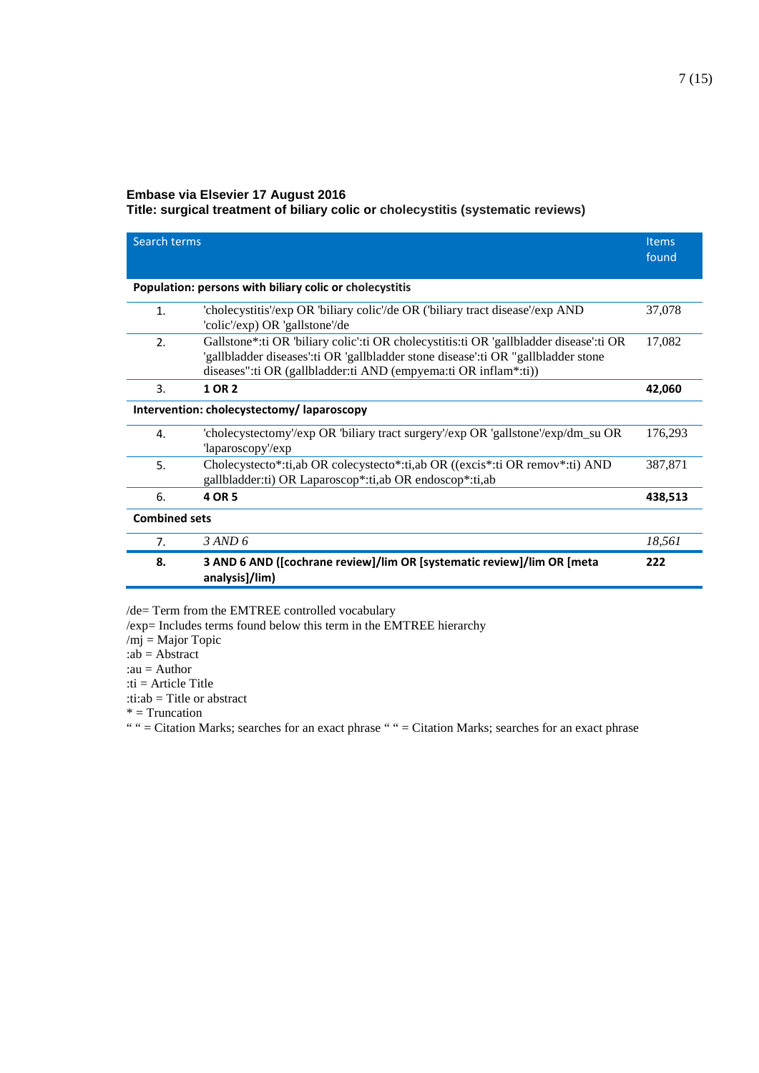#### **Embase via Elsevier 17 August 2016**

**Title: surgical treatment of biliary colic or cholecystitis (systematic reviews)**

| Search terms                              |                                                                                                                                                                                                                                                | <b>Items</b><br>found |
|-------------------------------------------|------------------------------------------------------------------------------------------------------------------------------------------------------------------------------------------------------------------------------------------------|-----------------------|
|                                           | Population: persons with biliary colic or cholecystitis                                                                                                                                                                                        |                       |
| 1.                                        | 'cholecystitis'/exp OR 'biliary colic'/de OR ('biliary tract disease'/exp AND<br>'colic'/exp) OR 'gallstone'/de                                                                                                                                | 37,078                |
| 2.                                        | Gallstone*:ti OR 'biliary colic':ti OR cholecystitis:ti OR 'gallbladder disease':ti OR<br>'gallbladder diseases':ti OR 'gallbladder stone disease':ti OR "gallbladder stone<br>diseases":ti OR (gallbladder:ti AND (empyema:ti OR inflam*:ti)) | 17,082                |
| 3.                                        | 1 OR 2                                                                                                                                                                                                                                         | 42,060                |
| Intervention: cholecystectomy/laparoscopy |                                                                                                                                                                                                                                                |                       |
| 4.                                        | 'cholecystectomy'/exp OR 'biliary tract surgery'/exp OR 'gallstone'/exp/dm_su OR<br>'laparoscopy'/exp                                                                                                                                          | 176,293               |
| 5.                                        | Cholecystecto*:ti,ab OR colecystecto*:ti,ab OR ((excis*:ti OR remov*:ti) AND<br>gallbladder: ti) OR Laparoscop*: ti, ab OR endoscop*: ti, ab                                                                                                   | 387,871               |
| 6.                                        | 4 OR 5                                                                                                                                                                                                                                         | 438,513               |
| <b>Combined sets</b>                      |                                                                                                                                                                                                                                                |                       |
| 7.                                        | $3$ AND 6                                                                                                                                                                                                                                      | 18,561                |
| 8.                                        | 3 AND 6 AND ([cochrane review]/lim OR [systematic review]/lim OR [meta<br>analysis]/lim)                                                                                                                                                       | 222                   |

/de= Term from the EMTREE controlled vocabulary

/exp= Includes terms found below this term in the EMTREE hierarchy

 $/m$ j = Major Topic

: $ab = Abstract$ 

:au = Author

:ti = Article Title

:ti:ab = Title or abstract

 $* = Truncation$ 

" " = Citation Marks; searches for an exact phrase " " = Citation Marks; searches for an exact phrase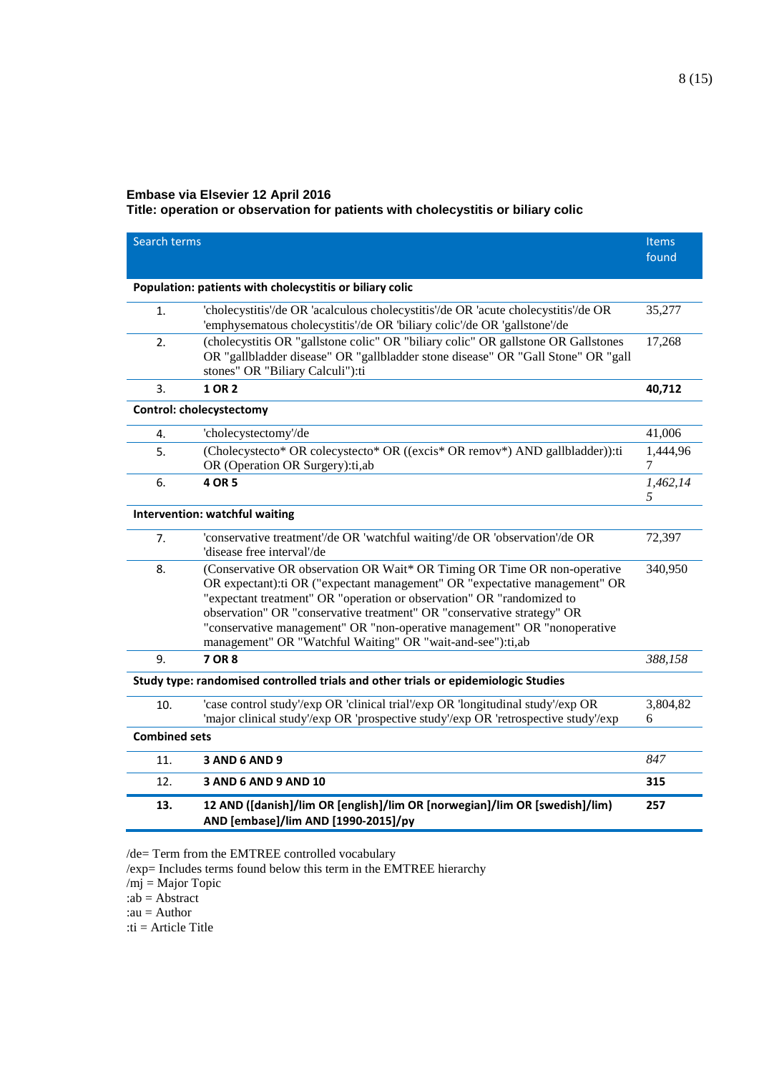## **Embase via Elsevier 12 April 2016**

**Title: operation or observation for patients with cholecystitis or biliary colic**

| Search terms         |                                                                                                                                                                                                                                                                                                                                                                                                                                                     | <b>Items</b><br>found |
|----------------------|-----------------------------------------------------------------------------------------------------------------------------------------------------------------------------------------------------------------------------------------------------------------------------------------------------------------------------------------------------------------------------------------------------------------------------------------------------|-----------------------|
|                      | Population: patients with cholecystitis or biliary colic                                                                                                                                                                                                                                                                                                                                                                                            |                       |
| 1.                   | 'cholecystitis'/de OR 'acalculous cholecystitis'/de OR 'acute cholecystitis'/de OR<br>'emphysematous cholecystitis'/de OR 'biliary colic'/de OR 'gallstone'/de                                                                                                                                                                                                                                                                                      | 35,277                |
| 2.                   | (cholecystitis OR "gallstone colic" OR "biliary colic" OR gallstone OR Gallstones<br>OR "gallbladder disease" OR "gallbladder stone disease" OR "Gall Stone" OR "gall<br>stones" OR "Biliary Calculi"):ti                                                                                                                                                                                                                                           | 17,268                |
| 3.                   | 1 OR 2                                                                                                                                                                                                                                                                                                                                                                                                                                              | 40,712                |
|                      | <b>Control: cholecystectomy</b>                                                                                                                                                                                                                                                                                                                                                                                                                     |                       |
| 4.                   | 'cholecystectomy'/de                                                                                                                                                                                                                                                                                                                                                                                                                                | 41,006                |
| 5.                   | (Cholecystecto* OR colecystecto* OR ((excis* OR remov*) AND gallbladder)):ti<br>OR (Operation OR Surgery):ti,ab                                                                                                                                                                                                                                                                                                                                     | 1,444,96<br>7         |
| 6.                   | 4 OR 5                                                                                                                                                                                                                                                                                                                                                                                                                                              | 1,462,14<br>5         |
|                      | Intervention: watchful waiting                                                                                                                                                                                                                                                                                                                                                                                                                      |                       |
| 7.                   | 'conservative treatment'/de OR 'watchful waiting'/de OR 'observation'/de OR<br>'disease free interval'/de                                                                                                                                                                                                                                                                                                                                           | 72,397                |
| 8.                   | (Conservative OR observation OR Wait* OR Timing OR Time OR non-operative<br>OR expectant):ti OR ("expectant management" OR "expectative management" OR<br>"expectant treatment" OR "operation or observation" OR "randomized to<br>observation" OR "conservative treatment" OR "conservative strategy" OR<br>"conservative management" OR "non-operative management" OR "nonoperative<br>management" OR "Watchful Waiting" OR "wait-and-see"):ti,ab | 340,950               |
| 9.                   | <b>7 OR 8</b>                                                                                                                                                                                                                                                                                                                                                                                                                                       | 388,158               |
|                      | Study type: randomised controlled trials and other trials or epidemiologic Studies                                                                                                                                                                                                                                                                                                                                                                  |                       |
| 10.                  | 'case control study'/exp OR 'clinical trial'/exp OR 'longitudinal study'/exp OR<br>'major clinical study'/exp OR 'prospective study'/exp OR 'retrospective study'/exp                                                                                                                                                                                                                                                                               | 3,804,82<br>6         |
| <b>Combined sets</b> |                                                                                                                                                                                                                                                                                                                                                                                                                                                     |                       |
| 11.                  | <b>3 AND 6 AND 9</b>                                                                                                                                                                                                                                                                                                                                                                                                                                | 847                   |
| 12.                  | <b>3 AND 6 AND 9 AND 10</b>                                                                                                                                                                                                                                                                                                                                                                                                                         | 315                   |
| 13.                  | 12 AND ([danish]/lim OR [english]/lim OR [norwegian]/lim OR [swedish]/lim)<br>AND [embase]/lim AND [1990-2015]/py                                                                                                                                                                                                                                                                                                                                   | 257                   |

/de= Term from the EMTREE controlled vocabulary

/exp= Includes terms found below this term in the EMTREE hierarchy

/mj = Major Topic

:ab = Abstract

:au = Author

:ti = Article Title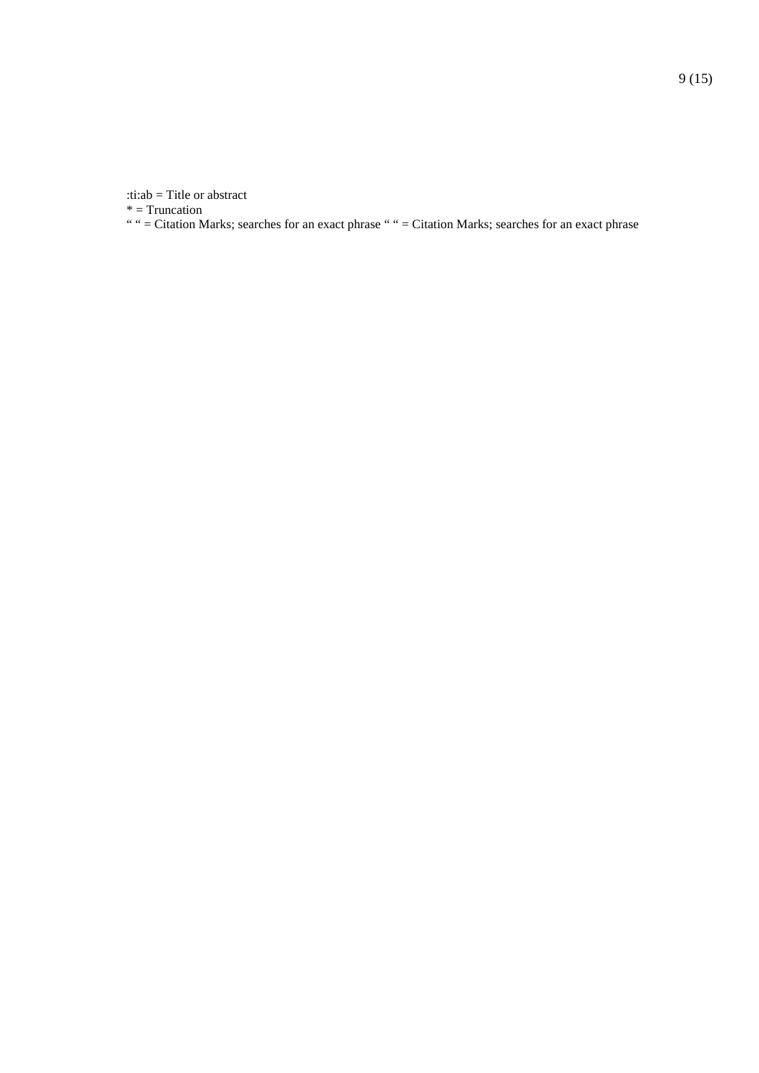:ti:ab = Title or abstract

\* = Truncation

" " = Citation Marks; searches for an exact phrase " " = Citation Marks; searches for an exact phrase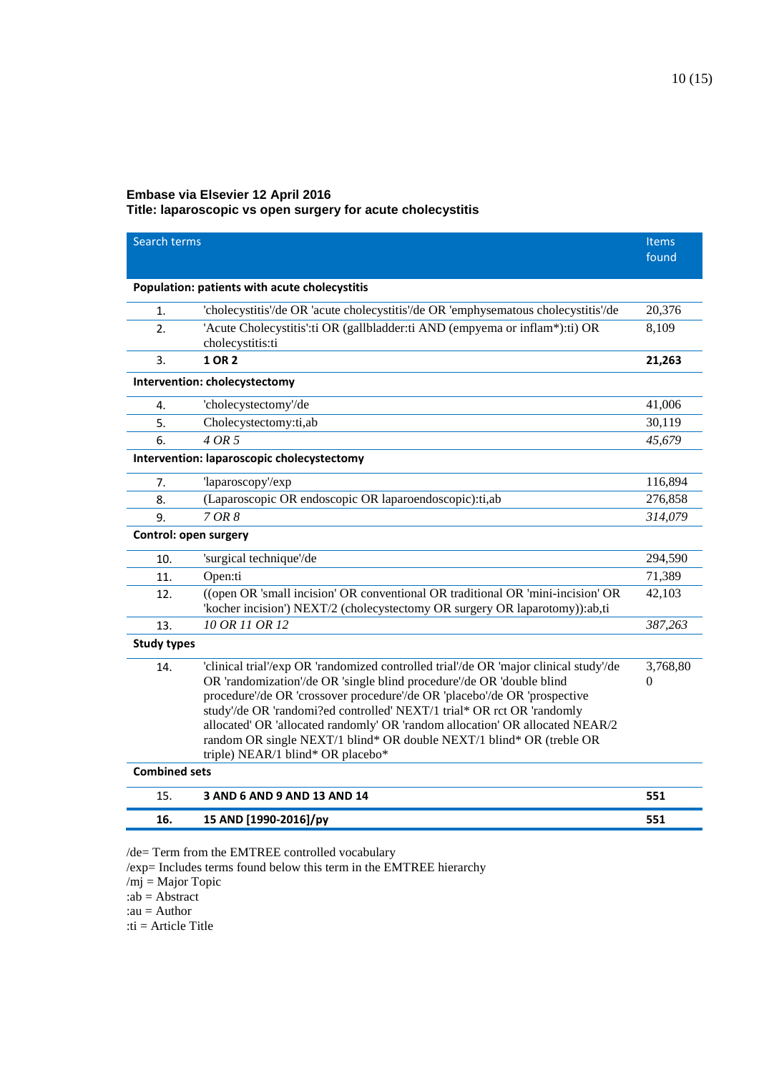### **Embase via Elsevier 12 April 2016 Title: laparoscopic vs open surgery for acute cholecystitis**

| Search terms          |                                                                                                                                                                                                                                                                                                                                                                                                                                                                                                                     | <b>Items</b><br>found |
|-----------------------|---------------------------------------------------------------------------------------------------------------------------------------------------------------------------------------------------------------------------------------------------------------------------------------------------------------------------------------------------------------------------------------------------------------------------------------------------------------------------------------------------------------------|-----------------------|
|                       | Population: patients with acute cholecystitis                                                                                                                                                                                                                                                                                                                                                                                                                                                                       |                       |
| 1.                    | 'cholecystitis'/de OR 'acute cholecystitis'/de OR 'emphysematous cholecystitis'/de                                                                                                                                                                                                                                                                                                                                                                                                                                  | 20,376                |
| 2.                    | 'Acute Cholecystitis': ti OR (gallbladder: ti AND (empyema or inflam*): ti) OR<br>cholecystitis:ti                                                                                                                                                                                                                                                                                                                                                                                                                  | 8,109                 |
| 3.                    | <b>1 OR 2</b>                                                                                                                                                                                                                                                                                                                                                                                                                                                                                                       | 21,263                |
|                       | Intervention: cholecystectomy                                                                                                                                                                                                                                                                                                                                                                                                                                                                                       |                       |
| 4.                    | 'cholecystectomy'/de                                                                                                                                                                                                                                                                                                                                                                                                                                                                                                | 41,006                |
| 5.                    | Cholecystectomy:ti,ab                                                                                                                                                                                                                                                                                                                                                                                                                                                                                               | 30,119                |
| 6.                    | 4 OR 5                                                                                                                                                                                                                                                                                                                                                                                                                                                                                                              | 45,679                |
|                       | Intervention: laparoscopic cholecystectomy                                                                                                                                                                                                                                                                                                                                                                                                                                                                          |                       |
| 7.                    | 'laparoscopy'/exp                                                                                                                                                                                                                                                                                                                                                                                                                                                                                                   | 116,894               |
| 8.                    | (Laparoscopic OR endoscopic OR laparoendoscopic):ti,ab                                                                                                                                                                                                                                                                                                                                                                                                                                                              | 276,858               |
| 9.                    | 7 OR 8                                                                                                                                                                                                                                                                                                                                                                                                                                                                                                              | 314,079               |
| Control: open surgery |                                                                                                                                                                                                                                                                                                                                                                                                                                                                                                                     |                       |
| 10.                   | 'surgical technique'/de                                                                                                                                                                                                                                                                                                                                                                                                                                                                                             | 294,590               |
| 11.                   | Open:ti                                                                                                                                                                                                                                                                                                                                                                                                                                                                                                             | 71,389                |
| 12.                   | ((open OR 'small incision' OR conventional OR traditional OR 'mini-incision' OR<br>'kocher incision') NEXT/2 (cholecystectomy OR surgery OR laparotomy)):ab,ti                                                                                                                                                                                                                                                                                                                                                      | 42,103                |
| 13.                   | 10 OR 11 OR 12                                                                                                                                                                                                                                                                                                                                                                                                                                                                                                      | 387,263               |
| <b>Study types</b>    |                                                                                                                                                                                                                                                                                                                                                                                                                                                                                                                     |                       |
| 14.                   | 'clinical trial'/exp OR 'randomized controlled trial'/de OR 'major clinical study'/de<br>OR 'randomization'/de OR 'single blind procedure'/de OR 'double blind<br>procedure'/de OR 'crossover procedure'/de OR 'placebo'/de OR 'prospective<br>study'/de OR 'randomi?ed controlled' NEXT/1 trial* OR rct OR 'randomly<br>allocated' OR 'allocated randomly' OR 'random allocation' OR allocated NEAR/2<br>random OR single NEXT/1 blind* OR double NEXT/1 blind* OR (treble OR<br>triple) NEAR/1 blind* OR placebo* | 3,768,80<br>$\Omega$  |
| <b>Combined sets</b>  |                                                                                                                                                                                                                                                                                                                                                                                                                                                                                                                     |                       |
| 15.                   | 3 AND 6 AND 9 AND 13 AND 14                                                                                                                                                                                                                                                                                                                                                                                                                                                                                         | 551                   |
| 16.                   | 15 AND [1990-2016]/py                                                                                                                                                                                                                                                                                                                                                                                                                                                                                               | 551                   |

/de= Term from the EMTREE controlled vocabulary

/exp= Includes terms found below this term in the EMTREE hierarchy

 $/mj = Major Topic$ 

:ab = Abstract

:au = Author

:ti = Article Title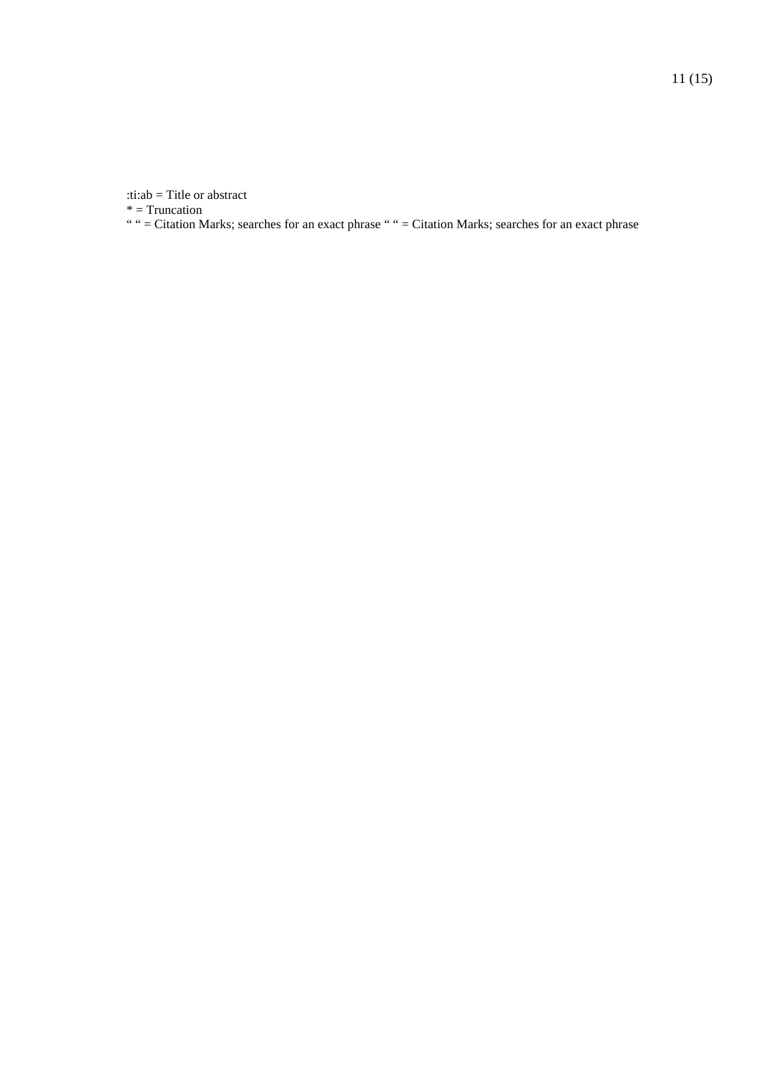:ti:ab = Title or abstract

\* = Truncation

" " = Citation Marks; searches for an exact phrase " " = Citation Marks; searches for an exact phrase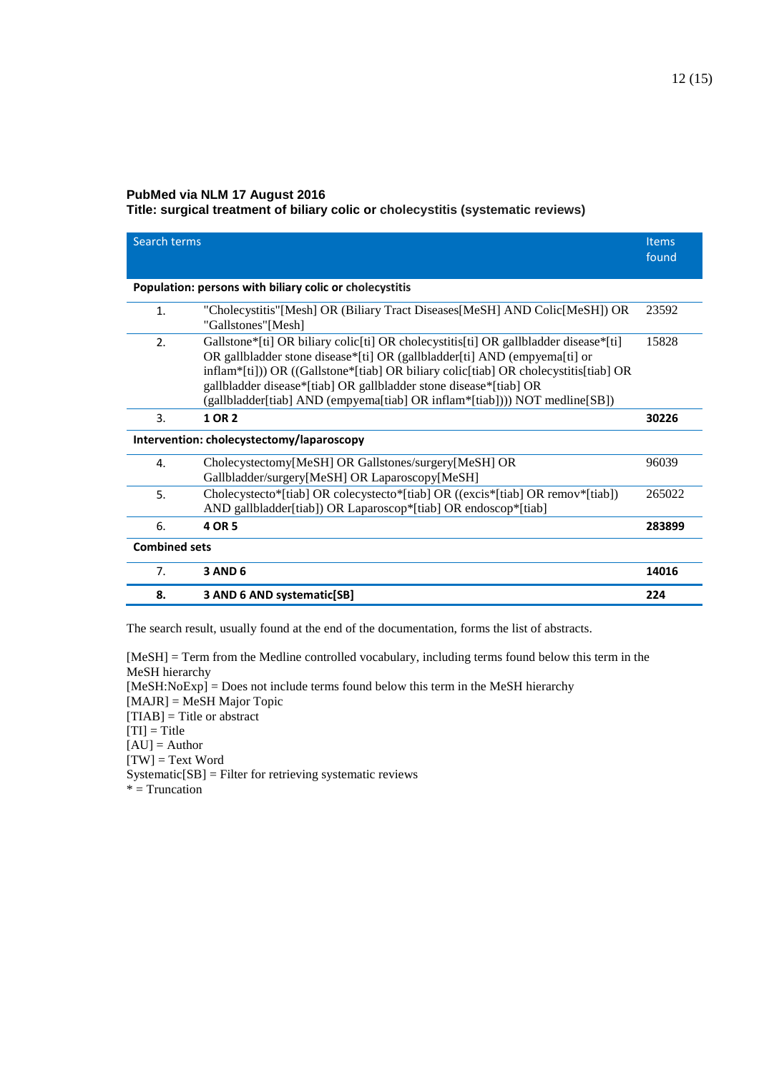#### **PubMed via NLM 17 August 2016**

#### **Title: surgical treatment of biliary colic or cholecystitis (systematic reviews)**

| Search terms                              |                                                                                                                                                                                                                                                                                                                                                                                                              | <b>Items</b><br>found |
|-------------------------------------------|--------------------------------------------------------------------------------------------------------------------------------------------------------------------------------------------------------------------------------------------------------------------------------------------------------------------------------------------------------------------------------------------------------------|-----------------------|
|                                           | Population: persons with biliary colic or cholecystitis                                                                                                                                                                                                                                                                                                                                                      |                       |
| $\mathbf{1}$ .                            | "Cholecystitis" [Mesh] OR (Biliary Tract Diseases [MeSH] AND Colic [MeSH]) OR<br>"Gallstones"[Mesh]                                                                                                                                                                                                                                                                                                          | 23592                 |
| 2.                                        | Gallstone*[ti] OR biliary colic[ti] OR cholecystitis[ti] OR gallbladder disease*[ti]<br>OR gallbladder stone disease*[ti] OR (gallbladder[ti] AND (empyema[ti] or<br>inflam*[ti])) OR ((Gallstone*[tiab] OR biliary colic[tiab] OR cholecystitis[tiab] OR<br>gallbladder disease*[tiab] OR gallbladder stone disease*[tiab] OR<br>(gallbladder[tiab] AND (empyema[tiab] OR inflam*[tiab]))) NOT medline[SB]) | 15828                 |
| 3.                                        | 1 OR 2                                                                                                                                                                                                                                                                                                                                                                                                       | 30226                 |
| Intervention: cholecystectomy/laparoscopy |                                                                                                                                                                                                                                                                                                                                                                                                              |                       |
| 4.                                        | Cholecystectomy[MeSH] OR Gallstones/surgery[MeSH] OR<br>Gallbladder/surgery[MeSH] OR Laparoscopy[MeSH]                                                                                                                                                                                                                                                                                                       | 96039                 |
| 5.                                        | Cholecystecto*[tiab] OR colecystecto*[tiab] OR ((excis*[tiab] OR remov*[tiab])<br>AND gallbladder[tiab]) OR Laparoscop*[tiab] OR endoscop*[tiab]                                                                                                                                                                                                                                                             | 265022                |
| 6.                                        | 4 OR 5                                                                                                                                                                                                                                                                                                                                                                                                       | 283899                |
| <b>Combined sets</b>                      |                                                                                                                                                                                                                                                                                                                                                                                                              |                       |
| 7.                                        | <b>3 AND 6</b>                                                                                                                                                                                                                                                                                                                                                                                               | 14016                 |
| 8.                                        | 3 AND 6 AND systematic[SB]                                                                                                                                                                                                                                                                                                                                                                                   | 224                   |

The search result, usually found at the end of the documentation, forms the list of abstracts.

[MeSH] = Term from the Medline controlled vocabulary, including terms found below this term in the MeSH hierarchy [MeSH:NoExp] = Does not include terms found below this term in the MeSH hierarchy [MAJR] = MeSH Major Topic [TIAB] = Title or abstract [TI] = Title  $[AU] =$  Author  $[TW] = Text Word$  $S$ ystematic $[SB]$  = Filter for retrieving systematic reviews  $* =$ Truncation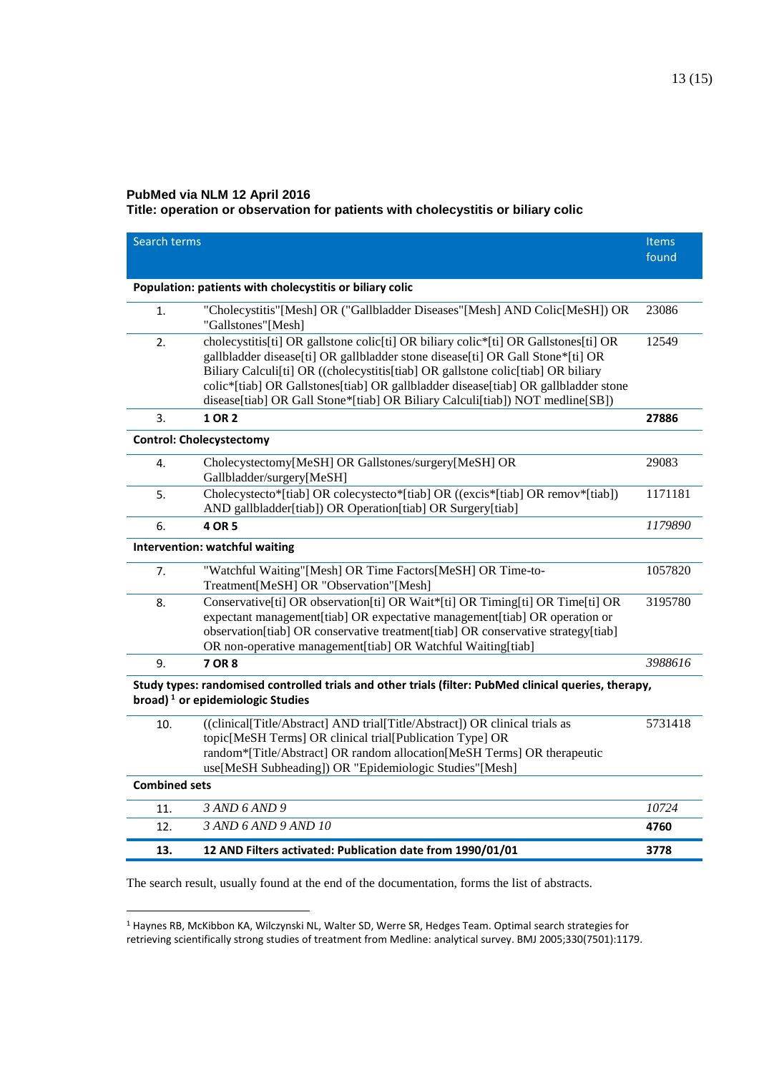#### **PubMed via NLM 12 April 2016**

 $\overline{a}$ 

**Title: operation or observation for patients with cholecystitis or biliary colic**

| Search terms                                                                                                                                 |                                                                                                                                                                                                                                                                                                                                                                                                                                  | <b>Items</b><br>found |  |
|----------------------------------------------------------------------------------------------------------------------------------------------|----------------------------------------------------------------------------------------------------------------------------------------------------------------------------------------------------------------------------------------------------------------------------------------------------------------------------------------------------------------------------------------------------------------------------------|-----------------------|--|
|                                                                                                                                              | Population: patients with cholecystitis or biliary colic                                                                                                                                                                                                                                                                                                                                                                         |                       |  |
| 1.                                                                                                                                           | "Cholecystitis"[Mesh] OR ("Gallbladder Diseases"[Mesh] AND Colic[MeSH]) OR<br>"Gallstones"[Mesh]                                                                                                                                                                                                                                                                                                                                 | 23086                 |  |
| 2.                                                                                                                                           | cholecystitis[ti] OR gallstone colic[ti] OR biliary colic*[ti] OR Gallstones[ti] OR<br>gallbladder disease[ti] OR gallbladder stone disease[ti] OR Gall Stone*[ti] OR<br>Biliary Calculi[ti] OR ((cholecystitis[tiab] OR gallstone colic[tiab] OR biliary<br>colic*[tiab] OR Gallstones[tiab] OR gallbladder disease[tiab] OR gallbladder stone<br>disease[tiab] OR Gall Stone*[tiab] OR Biliary Calculi[tiab]) NOT medline[SB]) | 12549                 |  |
| 3.                                                                                                                                           | 1 OR 2                                                                                                                                                                                                                                                                                                                                                                                                                           | 27886                 |  |
|                                                                                                                                              | <b>Control: Cholecystectomy</b>                                                                                                                                                                                                                                                                                                                                                                                                  |                       |  |
| 4.                                                                                                                                           | Cholecystectomy[MeSH] OR Gallstones/surgery[MeSH] OR<br>Gallbladder/surgery[MeSH]                                                                                                                                                                                                                                                                                                                                                | 29083                 |  |
| 5.                                                                                                                                           | Cholecystecto*[tiab] OR colecystecto*[tiab] OR ((excis*[tiab] OR remov*[tiab])<br>AND gallbladder[tiab]) OR Operation[tiab] OR Surgery[tiab]                                                                                                                                                                                                                                                                                     | 1171181               |  |
| 6.                                                                                                                                           | 4 OR 5                                                                                                                                                                                                                                                                                                                                                                                                                           | 1179890               |  |
|                                                                                                                                              | Intervention: watchful waiting                                                                                                                                                                                                                                                                                                                                                                                                   |                       |  |
| 7.                                                                                                                                           | "Watchful Waiting"[Mesh] OR Time Factors[MeSH] OR Time-to-<br>Treatment[MeSH] OR "Observation"[Mesh]                                                                                                                                                                                                                                                                                                                             | 1057820               |  |
| 8.                                                                                                                                           | Conservative[ti] OR observation[ti] OR Wait*[ti] OR Timing[ti] OR Time[ti] OR<br>expectant management[tiab] OR expectative management[tiab] OR operation or<br>observation[tiab] OR conservative treatment[tiab] OR conservative strategy[tiab]<br>OR non-operative management[tiab] OR Watchful Waiting[tiab]                                                                                                                   | 3195780               |  |
| 9.                                                                                                                                           | 7 OR 8                                                                                                                                                                                                                                                                                                                                                                                                                           | 3988616               |  |
| Study types: randomised controlled trials and other trials (filter: PubMed clinical queries, therapy,<br>broad) $1$ or epidemiologic Studies |                                                                                                                                                                                                                                                                                                                                                                                                                                  |                       |  |
| 10.                                                                                                                                          | ((clinical[Title/Abstract] AND trial[Title/Abstract]) OR clinical trials as<br>topic[MeSH Terms] OR clinical trial[Publication Type] OR<br>random*[Title/Abstract] OR random allocation[MeSH Terms] OR therapeutic<br>use[MeSH Subheading]) OR "Epidemiologic Studies"[Mesh]                                                                                                                                                     | 5731418               |  |
|                                                                                                                                              | <b>Combined sets</b>                                                                                                                                                                                                                                                                                                                                                                                                             |                       |  |
| 11.                                                                                                                                          | 3 AND 6 AND 9                                                                                                                                                                                                                                                                                                                                                                                                                    | 10724                 |  |
| 12.                                                                                                                                          | 3 AND 6 AND 9 AND 10                                                                                                                                                                                                                                                                                                                                                                                                             | 4760                  |  |
| 13.                                                                                                                                          | 12 AND Filters activated: Publication date from 1990/01/01                                                                                                                                                                                                                                                                                                                                                                       | 3778                  |  |

The search result, usually found at the end of the documentation, forms the list of abstracts.

<span id="page-12-0"></span><sup>1</sup> Haynes RB, McKibbon KA, Wilczynski NL, Walter SD, Werre SR, Hedges Team. Optimal search strategies for retrieving scientifically strong studies of treatment from Medline: analytical survey. BMJ 2005;330(7501):1179.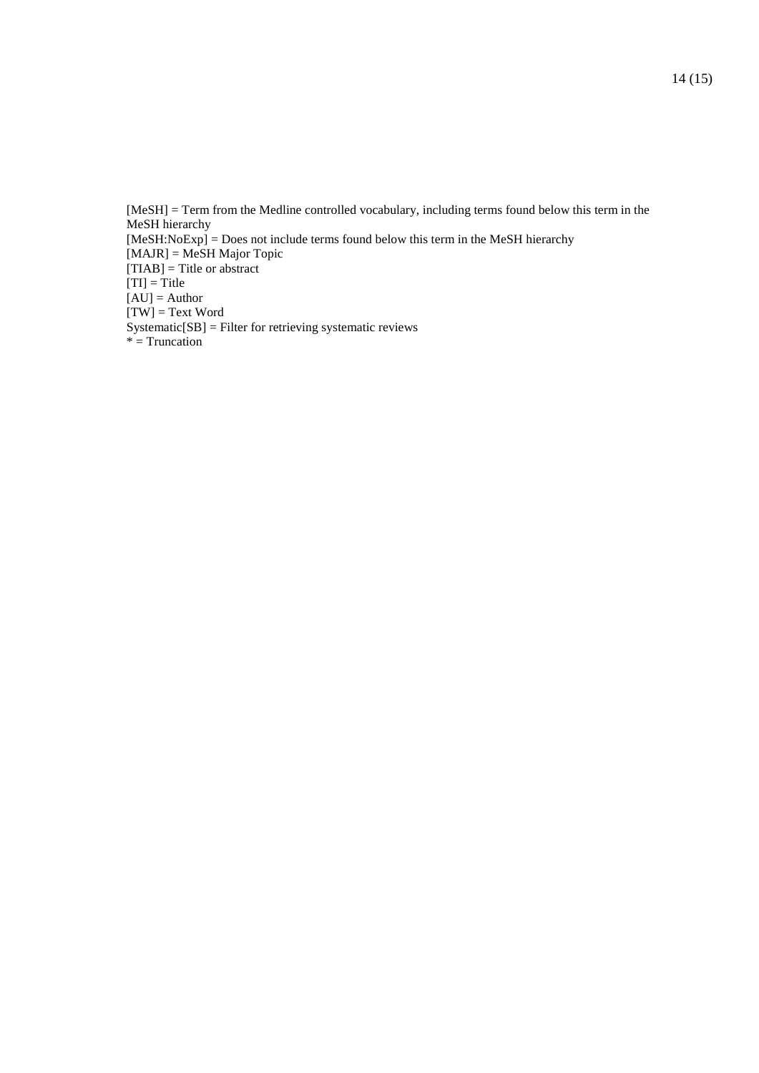[MeSH] = Term from the Medline controlled vocabulary, including terms found below this term in the MeSH hierarchy [MeSH:NoExp] = Does not include terms found below this term in the MeSH hierarchy [MAJR] = MeSH Major Topic  $[TIAB]$  = Title or abstract  $[TI] = Title$ [AU] = Author [TW] = Text Word Systematic[SB] = Filter for retrieving systematic reviews  $*$  = Truncation